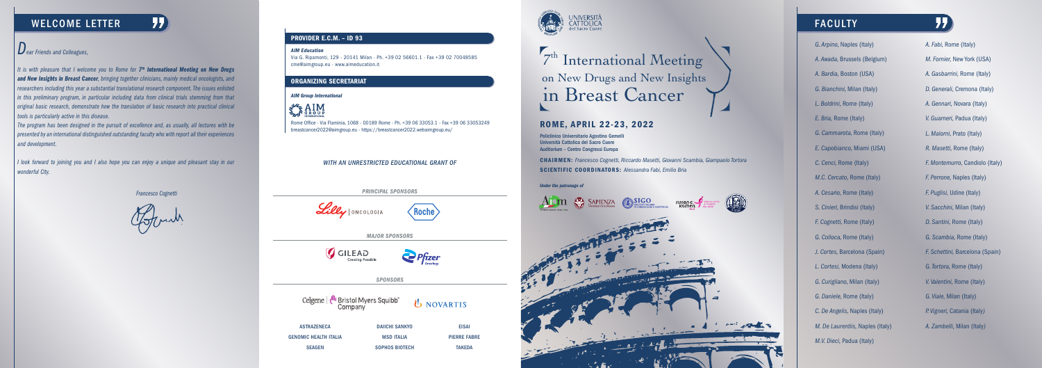# WELCOME LETTER FACULTY

# ROME, APRIL 22-23, 2022

# on New Drugs and New Insights <sup>7th</sup> International Meeting in Breast Cancer

CHAIRMEN: *Francesco Cognetti, Riccardo Masetti, Giovanni Scambia, Giampaolo Tortora* SCIENTIFIC COORDINATORS: *Alessandra Fabi, Emilio Bria*

Policlinico Universitario Agostino Gemelli Università Cattolica del Sacro Cuore Auditorium – Centro Congressi Europa





#### *WITH AN UNRESTRICTED EDUCATIONAL GRANT OF*

| <b>ASTRAZENECA</b>    | <b>DAIICHI SANKYO</b> | <b>EISAI</b>        |
|-----------------------|-----------------------|---------------------|
| GENOMIC HEALTH ITALIA | <b>MSD ITALIA</b>     | <b>PIERRE FABRE</b> |
| <b>SEAGEN</b>         | <b>SOPHOS BIOTECH</b> | <b>TAKEDA</b>       |



*It is with pleasure that I welcome you to Rome for 7<sup>th</sup> International Meeting on New Drugs and New Insights in Breast Cancer, bringing together clinicians, mainly medical oncologists, and researchers including this year a substantial translational research component. The issues enlisted in this preliminary program, in particular including data from clinical trials stemming from that original basic research, demonstrate how the translation of basic research into practical clinical tools is particularly active in this disease.*

# *Dear Friends and Colleagues,*

*The program has been designed in the pursuit of excellence and, as usually, all lectures with be presented by an international distinguished outstanding faculty who with report all their experiences and development.*

*I look forward to joining you and I also hope you can enjoy a unique and pleasant stay in our wonderful City.*

#### *AIM Education*

Via G. Ripamonti, 129 - 20141 Milan - Ph. +39 02 56601.1 - Fax +39 02 70048585 cme@aimgroup.eu - www.aimeducation.it

### PROVIDER E.C.M. – ID 93

#### ORGANIZING SECRETARIAT

#### *AIM Group International*



Rome Office - Via Flaminia, 1068 - 00189 Rome - Ph. +39 06 33053.1 - Fax +39 06 33053249 breastcancer2022@aimgroup.eu - https://breastcancer2022.webaimgroup.eu/

*PRINCIPAL SPONSORS*



*MAJOR SPONSORS*



Lilly ONCOLOGIA



Roche

*SPONSORS*

Celgene | *I<sup>II</sup>II* Bristol Myers Squibb

U NOVARTIS

*G. Arpino,* Naples (Italy) *A. Awada,* Brussels (Belgium) *A. Bardia,* Boston (USA) *G. Bianchini,* Milan (Italy) *L. Boldrini,* Rome (Italy) *E. Bria,* Rome (Italy) *G. Cammarota,* Rome (Italy) *E. Capobianco,* Miami (USA) *C. Cenci,* Rome (Italy) *M.C. Cercato,* Rome (Italy) *A. Cesario,* Rome (Italy) *S. Cinieri,* Brindisi (Italy) *F. Cognetti,* Rome (Italy) *G. Colloca,* Rome (Italy) *J. Cortes,* Barcelona (Spain) *L. Cortesi,* Modena (Italy) *G. Curigliano,* Milan (Italy) *G. Daniele,* Rome (Italy) *C. De Angelis,* Naples (Italy) *M. De Laurentiis,* Naples (Italy) *M.V. Dieci,* Padua (Italy)

*A. Fabi,* Rome (Italy) *M. Fornier,* New York (USA) *A. Gasbarrini,* Rome (Italy) *D. Generali,* Cremona (Italy) *A. Gennari,* Novara (Italy) *V. Guarneri,* Padua (Italy) *L. Malorni,* Prato (Italy) *R. Masetti,* Rome (Italy) *F. Montemurro,* Candiolo (Italy) *F. Perrone,* Naples (Italy) *F. Puglisi,* Udine (Italy) *V. Sacchini,* Milan (Italy) *D. Santini,* Rome (Italy) *G. Scambia,* Rome (Italy) *F. Schettini,* Barcelona (Spain) *G. Tortora,* Rome (Italy) *V. Valentini,* Rome (Italy) *G. Viale,* Milan (Italy) *P. Vigneri,* Catania (Italy*) A. Zambelli,* Milan (Italy*)*

77

*Francesco Cognetti*